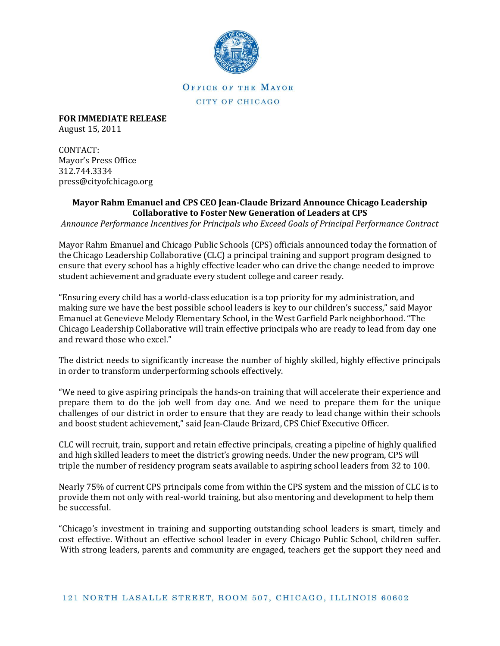

## OFFICE OF THE MAYOR CITY OF CHICAGO

**FOR IMMEDIATE RELEASE** August 15, 2011

CONTACT: Mayor's Press Office 312.744.3334 press@cityofchicago.org

## **Mayor Rahm Emanuel and CPS CEO Jean-Claude Brizard Announce Chicago Leadership Collaborative to Foster New Generation of Leaders at CPS**

*Announce Performance Incentives for Principals who Exceed Goals of Principal Performance Contract*

Mayor Rahm Emanuel and Chicago Public Schools (CPS) officials announced today the formation of the Chicago Leadership Collaborative (CLC) a principal training and support program designed to ensure that every school has a highly effective leader who can drive the change needed to improve student achievement and graduate every student college and career ready.

"Ensuring every child has a world-class education is a top priority for my administration, and making sure we have the best possible school leaders is key to our children's success," said Mayor Emanuel at Genevieve Melody Elementary School, in the West Garfield Park neighborhood. "The Chicago Leadership Collaborative will train effective principals who are ready to lead from day one and reward those who excel."

The district needs to significantly increase the number of highly skilled, highly effective principals in order to transform underperforming schools effectively.

"We need to give aspiring principals the hands-on training that will accelerate their experience and prepare them to do the job well from day one. And we need to prepare them for the unique challenges of our district in order to ensure that they are ready to lead change within their schools and boost student achievement," said Jean-Claude Brizard, CPS Chief Executive Officer.

CLC will recruit, train, support and retain effective principals, creating a pipeline of highly qualified and high skilled leaders to meet the district's growing needs. Under the new program, CPS will triple the number of residency program seats available to aspiring school leaders from 32 to 100.

Nearly 75% of current CPS principals come from within the CPS system and the mission of CLC is to provide them not only with real-world training, but also mentoring and development to help them be successful.

"Chicago's investment in training and supporting outstanding school leaders is smart, timely and cost effective. Without an effective school leader in every Chicago Public School, children suffer. With strong leaders, parents and community are engaged, teachers get the support they need and